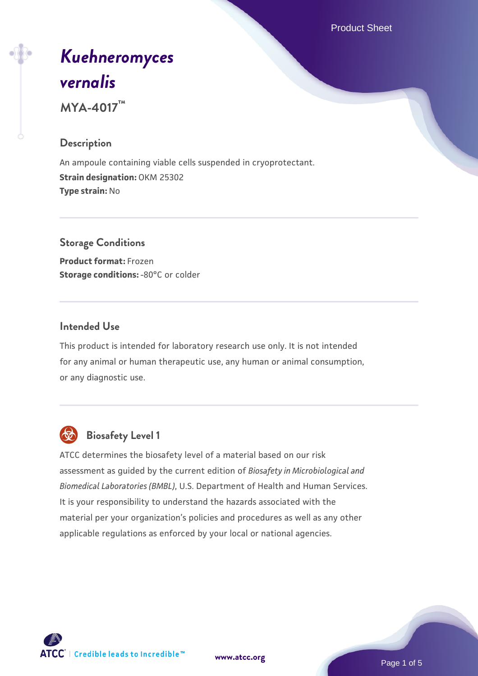Product Sheet

# *[Kuehneromyces](https://www.atcc.org/products/mya-4017) [vernalis](https://www.atcc.org/products/mya-4017)*

**MYA-4017™**

#### **Description**

An ampoule containing viable cells suspended in cryoprotectant. **Strain designation:** OKM 25302 **Type strain:** No

## **Storage Conditions Product format:** Frozen **Storage conditions: -80°C or colder**

#### **Intended Use**

This product is intended for laboratory research use only. It is not intended for any animal or human therapeutic use, any human or animal consumption, or any diagnostic use.



# **Biosafety Level 1**

ATCC determines the biosafety level of a material based on our risk assessment as guided by the current edition of *Biosafety in Microbiological and Biomedical Laboratories (BMBL)*, U.S. Department of Health and Human Services. It is your responsibility to understand the hazards associated with the material per your organization's policies and procedures as well as any other applicable regulations as enforced by your local or national agencies.



**[www.atcc.org](http://www.atcc.org)**

Page 1 of 5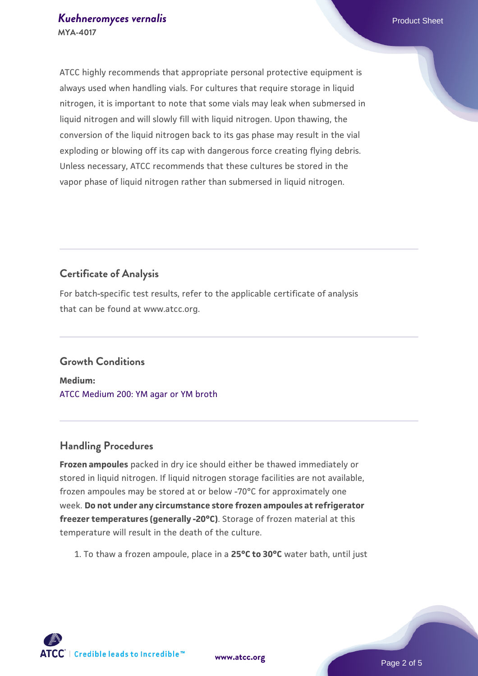ATCC highly recommends that appropriate personal protective equipment is always used when handling vials. For cultures that require storage in liquid nitrogen, it is important to note that some vials may leak when submersed in liquid nitrogen and will slowly fill with liquid nitrogen. Upon thawing, the conversion of the liquid nitrogen back to its gas phase may result in the vial exploding or blowing off its cap with dangerous force creating flying debris. Unless necessary, ATCC recommends that these cultures be stored in the vapor phase of liquid nitrogen rather than submersed in liquid nitrogen.

## **Certificate of Analysis**

For batch-specific test results, refer to the applicable certificate of analysis that can be found at www.atcc.org.

#### **Growth Conditions**

**Medium:**  [ATCC Medium 200: YM agar or YM broth](https://www.atcc.org/-/media/product-assets/documents/microbial-media-formulations/2/0/0/atcc-medium-200.pdf?rev=ac40fd74dc13433a809367b0b9da30fc)

# **Handling Procedures**

**Frozen ampoules** packed in dry ice should either be thawed immediately or stored in liquid nitrogen. If liquid nitrogen storage facilities are not available, frozen ampoules may be stored at or below -70°C for approximately one week. **Do not under any circumstance store frozen ampoules at refrigerator freezer temperatures (generally -20°C)**. Storage of frozen material at this temperature will result in the death of the culture.

1. To thaw a frozen ampoule, place in a **25°C to 30°C** water bath, until just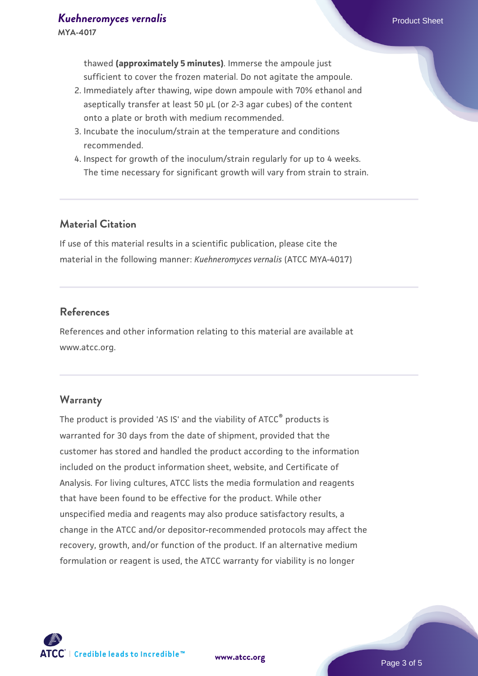thawed **(approximately 5 minutes)**. Immerse the ampoule just sufficient to cover the frozen material. Do not agitate the ampoule.

- 2. Immediately after thawing, wipe down ampoule with 70% ethanol and aseptically transfer at least 50 µL (or 2-3 agar cubes) of the content onto a plate or broth with medium recommended.
- 3. Incubate the inoculum/strain at the temperature and conditions recommended.
- 4. Inspect for growth of the inoculum/strain regularly for up to 4 weeks. The time necessary for significant growth will vary from strain to strain.

#### **Material Citation**

If use of this material results in a scientific publication, please cite the material in the following manner: *Kuehneromyces vernalis* (ATCC MYA-4017)

#### **References**

References and other information relating to this material are available at www.atcc.org.

#### **Warranty**

The product is provided 'AS IS' and the viability of ATCC® products is warranted for 30 days from the date of shipment, provided that the customer has stored and handled the product according to the information included on the product information sheet, website, and Certificate of Analysis. For living cultures, ATCC lists the media formulation and reagents that have been found to be effective for the product. While other unspecified media and reagents may also produce satisfactory results, a change in the ATCC and/or depositor-recommended protocols may affect the recovery, growth, and/or function of the product. If an alternative medium formulation or reagent is used, the ATCC warranty for viability is no longer

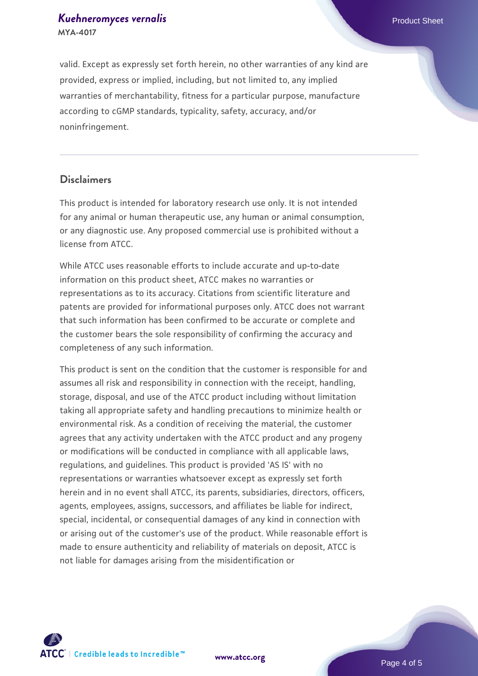#### *[Kuehneromyces vernalis](https://www.atcc.org/products/mya-4017)* Product Sheet **MYA-4017**

valid. Except as expressly set forth herein, no other warranties of any kind are provided, express or implied, including, but not limited to, any implied warranties of merchantability, fitness for a particular purpose, manufacture according to cGMP standards, typicality, safety, accuracy, and/or noninfringement.

#### **Disclaimers**

This product is intended for laboratory research use only. It is not intended for any animal or human therapeutic use, any human or animal consumption, or any diagnostic use. Any proposed commercial use is prohibited without a license from ATCC.

While ATCC uses reasonable efforts to include accurate and up-to-date information on this product sheet, ATCC makes no warranties or representations as to its accuracy. Citations from scientific literature and patents are provided for informational purposes only. ATCC does not warrant that such information has been confirmed to be accurate or complete and the customer bears the sole responsibility of confirming the accuracy and completeness of any such information.

This product is sent on the condition that the customer is responsible for and assumes all risk and responsibility in connection with the receipt, handling, storage, disposal, and use of the ATCC product including without limitation taking all appropriate safety and handling precautions to minimize health or environmental risk. As a condition of receiving the material, the customer agrees that any activity undertaken with the ATCC product and any progeny or modifications will be conducted in compliance with all applicable laws, regulations, and guidelines. This product is provided 'AS IS' with no representations or warranties whatsoever except as expressly set forth herein and in no event shall ATCC, its parents, subsidiaries, directors, officers, agents, employees, assigns, successors, and affiliates be liable for indirect, special, incidental, or consequential damages of any kind in connection with or arising out of the customer's use of the product. While reasonable effort is made to ensure authenticity and reliability of materials on deposit, ATCC is not liable for damages arising from the misidentification or



**[www.atcc.org](http://www.atcc.org)**

Page 4 of 5